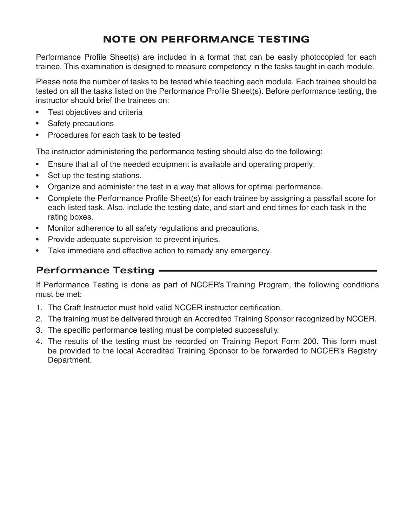# NOTE ON PERFORMANCE TESTING

Performance Profile Sheet(s) are included in a format that can be easily photocopied for each trainee. This examination is designed to measure competency in the tasks taught in each module.

Please note the number of tasks to be tested while teaching each module. Each trainee should be tested on all the tasks listed on the Performance Profile Sheet(s). Before performance testing, the instructor should brief the trainees on:

- Test objectives and criteria
- Safety precautions
- Procedures for each task to be tested

The instructor administering the performance testing should also do the following:

- Ensure that all of the needed equipment is available and operating properly.
- Set up the testing stations.
- Organize and administer the test in a way that allows for optimal performance.
- Complete the Performance Profile Sheet(s) for each trainee by assigning a pass/fail score for each listed task. Also, include the testing date, and start and end times for each task in the rating boxes.
- Monitor adherence to all safety regulations and precautions.
- Provide adequate supervision to prevent injuries.
- Take immediate and effective action to remedy any emergency.

### **Performance Testing**

If Performance Testing is done as part of NCCER's Training Program, the following conditions must be met:

- 1. The Craft Instructor must hold valid NCCER instructor certification.
- 2. The training must be delivered through an Accredited Training Sponsor recognized by NCCER.
- 3. The specific performance testing must be completed successfully.
- 4. The results of the testing must be recorded on Training Report Form 200. This form must be provided to the local Accredited Training Sponsor to be forwarded to NCCER's Registry Department.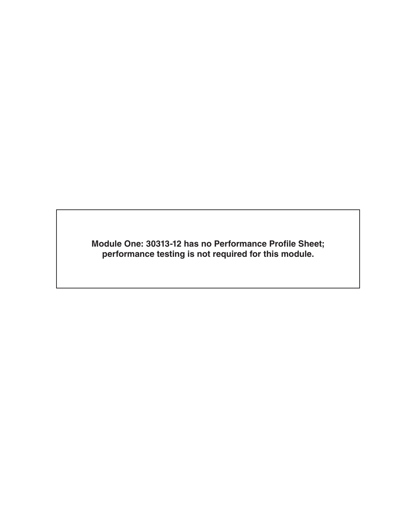**Module One: 30313-12 has no Performance Profile Sheet; performance testing is not required for this module.**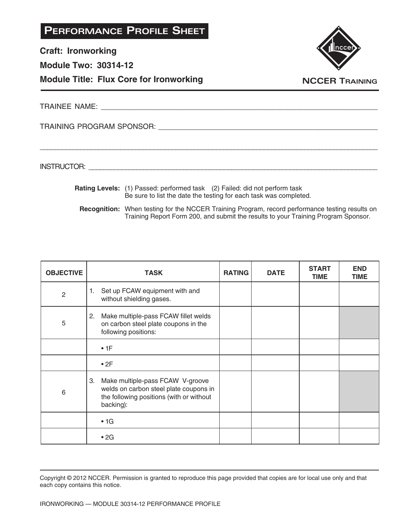**Craft: Ironworking**

**Module Two: 30314-12**

**Module Title: Flux Core for Ironworking**



**NCCER TRAINING**

TRAINEE NAME: **All and the set of the set of the set of the set of the set of the set of the set of the set of the set of the set of the set of the set of the set of the set of the set of the set of the set of the set of t** 

TRAINING PROGRAM SPONSOR: \_\_\_\_\_\_\_\_\_\_\_\_\_\_\_\_\_\_\_\_\_\_\_\_\_\_\_\_\_\_\_\_\_\_\_\_\_\_\_\_\_\_\_\_\_\_\_\_\_\_\_\_\_\_

INSTRUCTOR: with a set of the set of the set of the set of the set of the set of the set of the set of the set of the set of the set of the set of the set of the set of the set of the set of the set of the set of the set o

 **Rating Levels:** (1) Passed: performed task (2) Failed: did not perform task Be sure to list the date the testing for each task was completed.

\_\_\_\_\_\_\_\_\_\_\_\_\_\_\_\_\_\_\_\_\_\_\_\_\_\_\_\_\_\_\_\_\_\_\_\_\_\_\_\_\_\_\_\_\_\_\_\_\_\_\_\_\_\_\_\_\_\_\_\_\_\_\_\_\_\_\_\_\_\_\_\_\_\_\_\_\_\_\_\_\_\_\_\_\_\_\_\_\_\_\_\_

**Recognition:** When testing for the NCCER Training Program, record performance testing results on Training Report Form 200, and submit the results to your Training Program Sponsor.

| <b>OBJECTIVE</b> | <b>TASK</b>                                                                                                                               | <b>RATING</b> | <b>DATE</b> | <b>START</b><br><b>TIME</b> | <b>END</b><br><b>TIME</b> |
|------------------|-------------------------------------------------------------------------------------------------------------------------------------------|---------------|-------------|-----------------------------|---------------------------|
| $\overline{2}$   | Set up FCAW equipment with and<br>1.<br>without shielding gases.                                                                          |               |             |                             |                           |
| 5                | Make multiple-pass FCAW fillet welds<br>2.<br>on carbon steel plate coupons in the<br>following positions:                                |               |             |                             |                           |
|                  | •1F                                                                                                                                       |               |             |                             |                           |
|                  | •2F                                                                                                                                       |               |             |                             |                           |
| 6                | 3.<br>Make multiple-pass FCAW V-groove<br>welds on carbon steel plate coupons in<br>the following positions (with or without<br>backing): |               |             |                             |                           |
|                  | $\cdot$ 1G                                                                                                                                |               |             |                             |                           |
|                  | $\cdot$ 2G                                                                                                                                |               |             |                             |                           |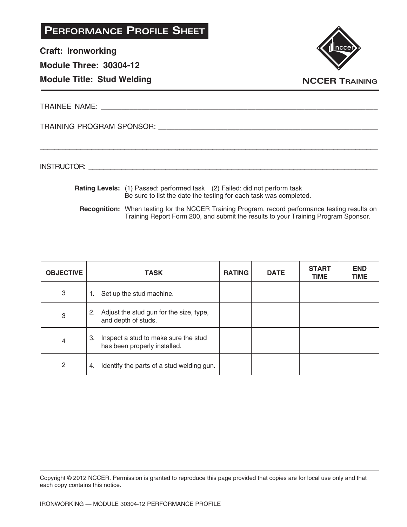**Craft: Ironworking**

**Module Three: 30304-12**

### **Module Title: Stud Welding**



**NCCER TRAINING**

TRAINEE NAME: **And the set of the set of the set of the set of the set of the set of the set of the set of the set of the set of the set of the set of the set of the set of the set of the set of the set of the set of the s** 

TRAINING PROGRAM SPONSOR: \_\_\_\_\_\_\_\_\_\_\_\_\_\_\_\_\_\_\_\_\_\_\_\_\_\_\_\_\_\_\_\_\_\_\_\_\_\_\_\_\_\_\_\_\_\_\_\_\_\_\_\_\_\_

INSTRUCTOR: with a set of the set of the set of the set of the set of the set of the set of the set of the set of the set of the set of the set of the set of the set of the set of the set of the set of the set of the set o

 **Rating Levels:** (1) Passed: performed task (2) Failed: did not perform task Be sure to list the date the testing for each task was completed.

\_\_\_\_\_\_\_\_\_\_\_\_\_\_\_\_\_\_\_\_\_\_\_\_\_\_\_\_\_\_\_\_\_\_\_\_\_\_\_\_\_\_\_\_\_\_\_\_\_\_\_\_\_\_\_\_\_\_\_\_\_\_\_\_\_\_\_\_\_\_\_\_\_\_\_\_\_\_\_\_\_\_\_\_\_\_\_\_\_\_\_\_

**Recognition:** When testing for the NCCER Training Program, record performance testing results on Training Report Form 200, and submit the results to your Training Program Sponsor.

| <b>OBJECTIVE</b> | <b>TASK</b>                                                                | <b>RATING</b> | <b>DATE</b> | <b>START</b><br><b>TIME</b> | <b>END</b><br><b>TIME</b> |
|------------------|----------------------------------------------------------------------------|---------------|-------------|-----------------------------|---------------------------|
| 3                | Set up the stud machine.<br>1.                                             |               |             |                             |                           |
| 3                | Adjust the stud gun for the size, type,<br>2.<br>and depth of studs.       |               |             |                             |                           |
| 4                | Inspect a stud to make sure the stud<br>3.<br>has been properly installed. |               |             |                             |                           |
| $\mathbf{2}$     | Identify the parts of a stud welding gun.<br>4.                            |               |             |                             |                           |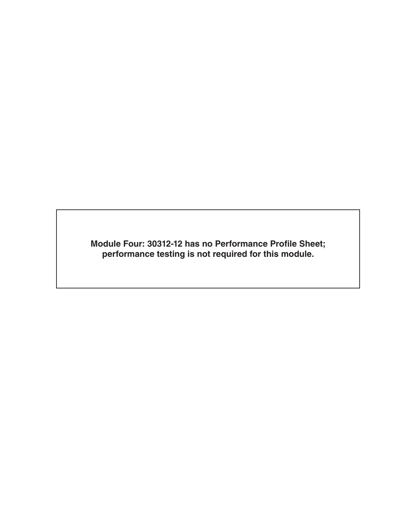**Module Four: 30312-12 has no Performance Profile Sheet; performance testing is not required for this module.**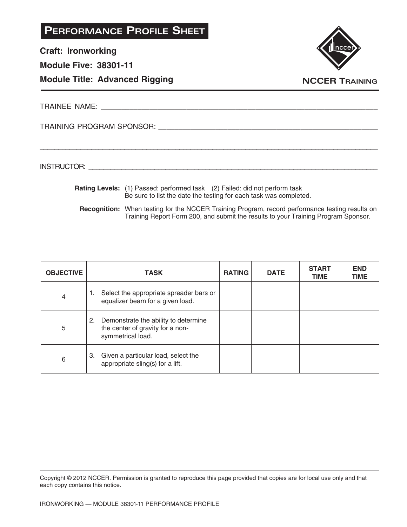**Craft: Ironworking**

**Module Five: 38301-11**

#### **Module Title: Advanced Rigging**



**NCCER TRAINING**

TRAINEE NAME: **All and the set of the set of the set of the set of the set of the set of the set of the set of the set of the set of the set of the set of the set of the set of the set of the set of the set of the set of t** 

TRAINING PROGRAM SPONSOR: \_\_\_\_\_\_\_\_\_\_\_\_\_\_\_\_\_\_\_\_\_\_\_\_\_\_\_\_\_\_\_\_\_\_\_\_\_\_\_\_\_\_\_\_\_\_\_\_\_\_\_\_\_\_

INSTRUCTOR: with a set of the set of the set of the set of the set of the set of the set of the set of the set of the set of the set of the set of the set of the set of the set of the set of the set of the set of the set o

 **Rating Levels:** (1) Passed: performed task (2) Failed: did not perform task Be sure to list the date the testing for each task was completed.

\_\_\_\_\_\_\_\_\_\_\_\_\_\_\_\_\_\_\_\_\_\_\_\_\_\_\_\_\_\_\_\_\_\_\_\_\_\_\_\_\_\_\_\_\_\_\_\_\_\_\_\_\_\_\_\_\_\_\_\_\_\_\_\_\_\_\_\_\_\_\_\_\_\_\_\_\_\_\_\_\_\_\_\_\_\_\_\_\_\_\_\_

**Recognition:** When testing for the NCCER Training Program, record performance testing results on Training Report Form 200, and submit the results to your Training Program Sponsor.

| <b>OBJECTIVE</b> | <b>TASK</b>                                                                                      | <b>RATING</b> | <b>DATE</b> | <b>START</b><br><b>TIME</b> | <b>END</b><br><b>TIME</b> |
|------------------|--------------------------------------------------------------------------------------------------|---------------|-------------|-----------------------------|---------------------------|
| 4                | Select the appropriate spreader bars or<br>1.<br>equalizer beam for a given load.                |               |             |                             |                           |
| 5                | 2. Demonstrate the ability to determine<br>the center of gravity for a non-<br>symmetrical load. |               |             |                             |                           |
| 6                | Given a particular load, select the<br>3.<br>appropriate sling(s) for a lift.                    |               |             |                             |                           |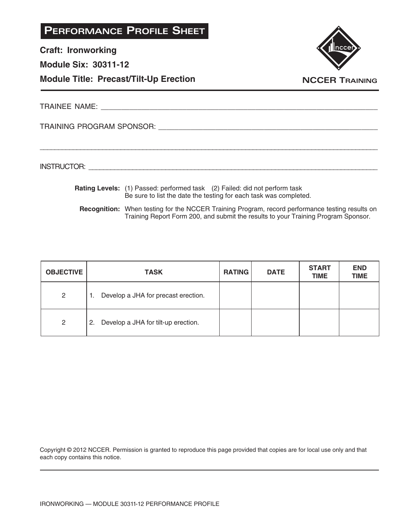**Craft: Ironworking**

**Module Six: 30311-12**

**Module Title: Precast/Tilt-Up Erection**



TRAINEE NAME: **And a set of the set of the set of the set of the set of the set of the set of the set of the set of the set of the set of the set of the set of the set of the set of the set of the set of the set of the set** 

TRAINING PROGRAM SPONSOR: \_\_\_\_\_\_\_\_\_\_\_\_\_\_\_\_\_\_\_\_\_\_\_\_\_\_\_\_\_\_\_\_\_\_\_\_\_\_\_\_\_\_\_\_\_\_\_\_\_\_\_\_\_\_

INSTRUCTOR: \_\_\_\_\_\_\_\_\_\_\_\_\_\_\_\_\_\_\_\_\_\_\_\_\_\_\_\_\_\_\_\_\_\_\_\_\_\_\_\_\_\_\_\_\_\_\_\_\_\_\_\_\_\_\_\_\_\_\_\_\_\_\_\_\_\_\_\_\_\_\_\_\_\_\_\_\_\_\_

 **Rating Levels:** (1) Passed: performed task (2) Failed: did not perform task Be sure to list the date the testing for each task was completed.

\_\_\_\_\_\_\_\_\_\_\_\_\_\_\_\_\_\_\_\_\_\_\_\_\_\_\_\_\_\_\_\_\_\_\_\_\_\_\_\_\_\_\_\_\_\_\_\_\_\_\_\_\_\_\_\_\_\_\_\_\_\_\_\_\_\_\_\_\_\_\_\_\_\_\_\_\_\_\_\_\_\_\_\_\_\_\_\_\_\_\_\_

**Recognition:** When testing for the NCCER Training Program, record performance testing results on Training Report Form 200, and submit the results to your Training Program Sponsor.

| <b>OBJECTIVE</b> | <b>TASK</b>                               | <b>RATING</b> | <b>DATE</b> | <b>START</b><br><b>TIME</b> | <b>END</b><br><b>TIME</b> |
|------------------|-------------------------------------------|---------------|-------------|-----------------------------|---------------------------|
| $\overline{2}$   | Develop a JHA for precast erection.<br>1. |               |             |                             |                           |
| $\overline{2}$   | Develop a JHA for tilt-up erection.<br>2. |               |             |                             |                           |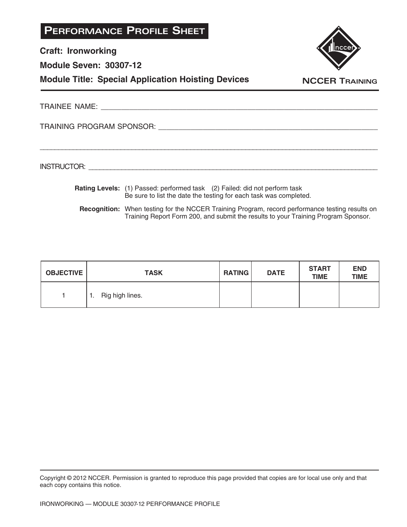| <b>PERFORMANCE PROFILE SHEET</b>                          |                       |
|-----------------------------------------------------------|-----------------------|
| <b>Craft: Ironworking</b>                                 | nccer                 |
| <b>Module Seven: 30307-12</b>                             |                       |
| <b>Module Title: Special Application Hoisting Devices</b> | <b>NCCER TRAINING</b> |
|                                                           |                       |
| TRAINING PROGRAM SPONSOR: TRAINING PROGRAM SPONSOR:       |                       |
|                                                           |                       |
|                                                           |                       |

- **Rating Levels:** (1) Passed: performed task (2) Failed: did not perform task Be sure to list the date the testing for each task was completed.
	- **Recognition:** When testing for the NCCER Training Program, record performance testing results on Training Report Form 200, and submit the results to your Training Program Sponsor.

| <b>OBJECTIVE</b> | <b>TASK</b>           | <b>RATING</b> | <b>DATE</b> | <b>START</b><br><b>TIME</b> | <b>END</b><br><b>TIME</b> |
|------------------|-----------------------|---------------|-------------|-----------------------------|---------------------------|
|                  | Rig high lines.<br>ш. |               |             |                             |                           |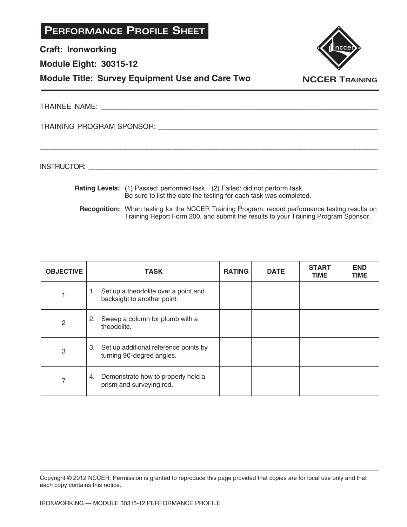| <b>PERFORMANCE PROFILE SHEET</b>                       |                       |
|--------------------------------------------------------|-----------------------|
| <b>Craft: Ironworking</b>                              |                       |
| <b>Module Eight: 30315-12</b>                          |                       |
| <b>Module Title: Survey Equipment Use and Care Two</b> | <b>NCCER TRAINING</b> |
| <b>TRAINEE NAME:</b>                                   |                       |

TRAINING PROGRAM SPONSOR: \_\_\_\_\_\_\_\_\_\_\_\_\_\_\_\_\_\_\_\_\_\_\_\_\_\_\_\_\_\_\_\_\_\_\_\_\_\_\_\_\_\_\_\_\_\_\_\_\_\_\_\_\_\_

INSTRUCTOR: \_\_\_\_\_\_\_\_\_\_\_\_\_\_\_\_\_\_\_\_\_\_\_\_\_\_\_\_\_\_\_\_\_\_\_\_\_\_\_\_\_\_\_\_\_\_\_\_\_\_\_\_\_\_\_\_\_\_\_\_\_\_\_\_\_\_\_\_\_\_\_\_\_\_\_\_\_\_\_

 **Rating Levels:** (1) Passed: performed task (2) Failed: did not perform task Be sure to list the date the testing for each task was completed.

\_\_\_\_\_\_\_\_\_\_\_\_\_\_\_\_\_\_\_\_\_\_\_\_\_\_\_\_\_\_\_\_\_\_\_\_\_\_\_\_\_\_\_\_\_\_\_\_\_\_\_\_\_\_\_\_\_\_\_\_\_\_\_\_\_\_\_\_\_\_\_\_\_\_\_\_\_\_\_\_\_\_\_\_\_\_\_\_\_\_\_\_

**Recognition:** When testing for the NCCER Training Program, record performance testing results on Training Report Form 200, and submit the results to your Training Program Sponsor.

| <b>OBJECTIVE</b> | <b>TASK</b>                                                               | <b>RATING</b> | <b>DATE</b> | <b>START</b><br><b>TIME</b> | <b>END</b><br><b>TIME</b> |
|------------------|---------------------------------------------------------------------------|---------------|-------------|-----------------------------|---------------------------|
|                  | Set up a theodolite over a point and<br>1.<br>backsight to another point. |               |             |                             |                           |
| 2                | Sweep a column for plumb with a<br>2.<br>theodolite.                      |               |             |                             |                           |
| 3                | 3. Set up additional reference points by<br>turning 90-degree angles.     |               |             |                             |                           |
| 7                | Demonstrate how to properly hold a<br>4.<br>prism and surveying rod.      |               |             |                             |                           |

Copyright © 2012 NCCER. Permission is granted to reproduce this page provided that copies are for local use only and that each copy contains this notice.

IRONWORKING — MODULE 30315-12 PERFORMANCE PROFILE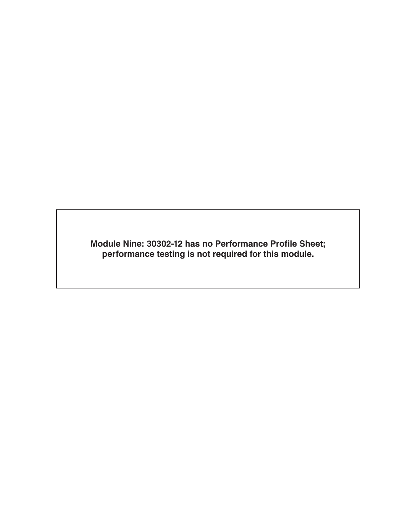**Module Nine: 30302-12 has no Performance Profile Sheet; performance testing is not required for this module.**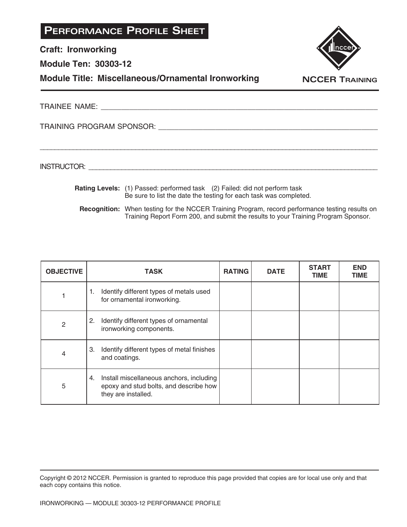**Craft: Ironworking**

**Module Ten: 30303-12**

#### **Module Title: Miscellaneous/Ornamental Ironworking**



TRAINEE NAME: **All and the set of the set of the set of the set of the set of the set of the set of the set of the set of the set of the set of the set of the set of the set of the set of the set of the set of the set of t** 

TRAINING PROGRAM SPONSOR: \_\_\_\_\_\_\_\_\_\_\_\_\_\_\_\_\_\_\_\_\_\_\_\_\_\_\_\_\_\_\_\_\_\_\_\_\_\_\_\_\_\_\_\_\_\_\_\_\_\_\_\_\_\_

INSTRUCTOR: with a set of the set of the set of the set of the set of the set of the set of the set of the set of the set of the set of the set of the set of the set of the set of the set of the set of the set of the set o

 **Rating Levels:** (1) Passed: performed task (2) Failed: did not perform task Be sure to list the date the testing for each task was completed.

\_\_\_\_\_\_\_\_\_\_\_\_\_\_\_\_\_\_\_\_\_\_\_\_\_\_\_\_\_\_\_\_\_\_\_\_\_\_\_\_\_\_\_\_\_\_\_\_\_\_\_\_\_\_\_\_\_\_\_\_\_\_\_\_\_\_\_\_\_\_\_\_\_\_\_\_\_\_\_\_\_\_\_\_\_\_\_\_\_\_\_\_

**Recognition:** When testing for the NCCER Training Program, record performance testing results on Training Report Form 200, and submit the results to your Training Program Sponsor.

| <b>OBJECTIVE</b> | <b>TASK</b>                                                                                                     | <b>RATING</b> | <b>DATE</b> | <b>START</b><br><b>TIME</b> | <b>END</b><br><b>TIME</b> |
|------------------|-----------------------------------------------------------------------------------------------------------------|---------------|-------------|-----------------------------|---------------------------|
|                  | Identify different types of metals used<br>1.<br>for ornamental ironworking.                                    |               |             |                             |                           |
| 2                | Identify different types of ornamental<br>2.<br>ironworking components.                                         |               |             |                             |                           |
| 4                | Identify different types of metal finishes<br>3.<br>and coatings.                                               |               |             |                             |                           |
| 5                | Install miscellaneous anchors, including<br>4.<br>epoxy and stud bolts, and describe how<br>they are installed. |               |             |                             |                           |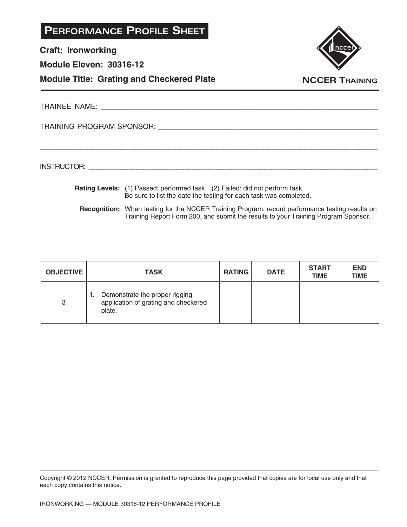| <b>PERFORMANCE PROFILE SHEET</b> |  |
|----------------------------------|--|
|----------------------------------|--|

**Craft: Ironworking**

**Module Eleven: 30316-12**





TRAINEE NAME: **We have all that the set of the set of the set of the set of the set of the set of the set of the set of the set of the set of the set of the set of the set of the set of the set of the set of the set of the** 

TRAINING PROGRAM SPONSOR: \_\_\_\_\_\_\_\_\_\_\_\_\_\_\_\_\_\_\_\_\_\_\_\_\_\_\_\_\_\_\_\_\_\_\_\_\_\_\_\_\_\_\_\_\_\_\_\_\_\_\_\_\_\_

INSTRUCTOR: with a set of the set of the set of the set of the set of the set of the set of the set of the set of the set of the set of the set of the set of the set of the set of the set of the set of the set of the set o

 **Rating Levels:** (1) Passed: performed task (2) Failed: did not perform task Be sure to list the date the testing for each task was completed.

\_\_\_\_\_\_\_\_\_\_\_\_\_\_\_\_\_\_\_\_\_\_\_\_\_\_\_\_\_\_\_\_\_\_\_\_\_\_\_\_\_\_\_\_\_\_\_\_\_\_\_\_\_\_\_\_\_\_\_\_\_\_\_\_\_\_\_\_\_\_\_\_\_\_\_\_\_\_\_\_\_\_\_\_\_\_\_\_\_\_\_\_

**Recognition:** When testing for the NCCER Training Program, record performance testing results on Training Report Form 200, and submit the results to your Training Program Sponsor.

| <b>OBJECTIVE</b> | <b>TASK</b>                                                                      | <b>RATING</b> | <b>DATE</b> | <b>START</b><br><b>TIME</b> | <b>END</b><br><b>TIME</b> |
|------------------|----------------------------------------------------------------------------------|---------------|-------------|-----------------------------|---------------------------|
| 3                | Demonstrate the proper rigging<br>application of grating and checkered<br>plate. |               |             |                             |                           |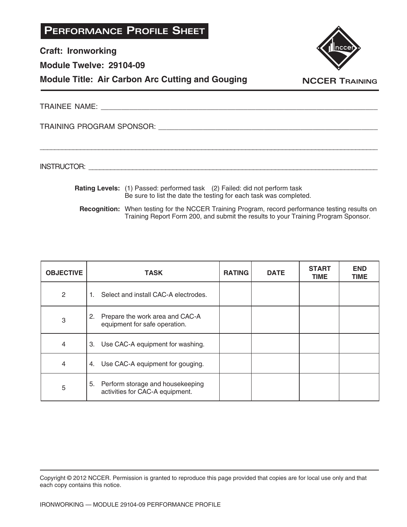| <b>PERFORMANCE PROFILE SHEET</b> |
|----------------------------------|
|----------------------------------|

**Craft: Ironworking**

**Module Twelve: 29104-09**

**Module Title: Air Carbon Arc Cutting and Gouging**



**NCCER TRAINING**

TRAINEE NAME: **All and the set of the set of the set of the set of the set of the set of the set of the set of the set of the set of the set of the set of the set of the set of the set of the set of the set of the set of t** 

\_\_\_\_\_\_\_\_\_\_\_\_\_\_\_\_\_\_\_\_\_\_\_\_\_\_\_\_\_\_\_\_\_\_\_\_\_\_\_\_\_\_\_\_\_\_\_\_\_\_\_\_\_\_\_\_\_\_\_\_\_\_\_\_\_\_\_\_\_\_\_\_\_\_\_\_\_\_\_\_\_\_\_\_\_\_\_\_\_\_\_\_

TRAINING PROGRAM SPONSOR: \_\_\_\_\_\_\_\_\_\_\_\_\_\_\_\_\_\_\_\_\_\_\_\_\_\_\_\_\_\_\_\_\_\_\_\_\_\_\_\_\_\_\_\_\_\_\_\_\_\_\_\_\_\_

INSTRUCTOR: with a set of the set of the set of the set of the set of the set of the set of the set of the set of the set of the set of the set of the set of the set of the set of the set of the set of the set of the set o

 **Rating Levels:** (1) Passed: performed task (2) Failed: did not perform task Be sure to list the date the testing for each task was completed.

**Recognition:** When testing for the NCCER Training Program, record performance testing results on Training Report Form 200, and submit the results to your Training Program Sponsor.

| <b>OBJECTIVE</b> | <b>TASK</b>                                                            | <b>RATING</b> | <b>DATE</b> | <b>START</b><br><b>TIME</b> | <b>END</b><br><b>TIME</b> |
|------------------|------------------------------------------------------------------------|---------------|-------------|-----------------------------|---------------------------|
| 2                | Select and install CAC-A electrodes.<br>1.                             |               |             |                             |                           |
| 3                | 2.<br>Prepare the work area and CAC-A<br>equipment for safe operation. |               |             |                             |                           |
| 4                | 3.<br>Use CAC-A equipment for washing.                                 |               |             |                             |                           |
| 4                | Use CAC-A equipment for gouging.<br>4.                                 |               |             |                             |                           |
| 5                | 5. Perform storage and housekeeping<br>activities for CAC-A equipment. |               |             |                             |                           |